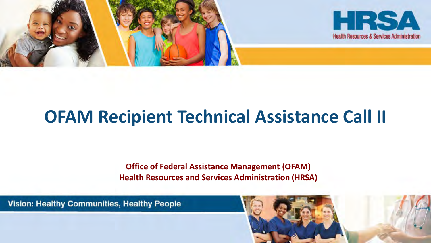

# **OFAM Recipient Technical Assistance Call II**

**Office of Federal Assistance Management (OFAM) Health Resources and Services Administration (HRSA)**

Vision: Healthy Communities, Healthy People

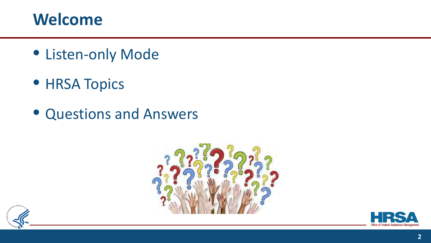#### **Welcome**

- Listen-only Mode
- **HRSA Topics**
- Questions and Answers





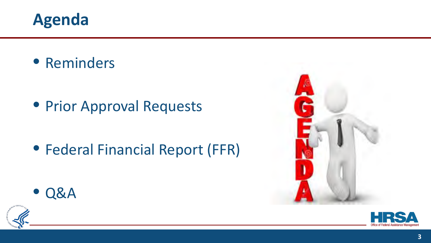

• Reminders

**• Prior Approval Requests** 

• Federal Financial Report (FFR)







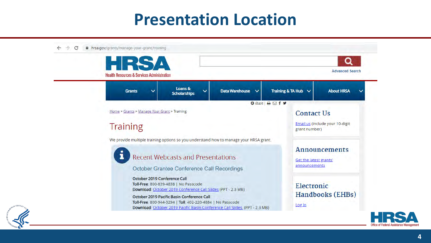#### **Presentation Location**



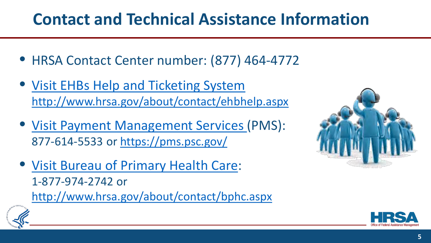# **Contact and Technical Assistance Information**

- HRSA Contact Center number: (877) 464-4772
- Visit EHBs Help and Ticketing System <http://www.hrsa.gov/about/contact/ehbhelp.aspx>
- [Visit Payment Management Services](https://pms.psc.gov/) (PMS): 877-614-5533 or <https://pms.psc.gov/>
- [Visit Bureau of Primary Health Care:](http://www.hrsa.gov/about/contact/bphc.aspx) 1-877-974-2742 or <http://www.hrsa.gov/about/contact/bphc.aspx>





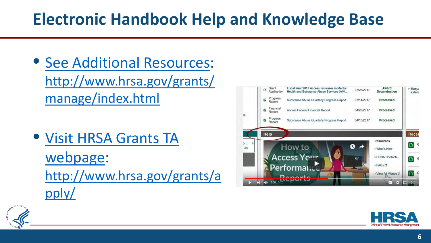# **Electronic Handbook Help and Knowledge Base**

- [See Additional Resources:](http://www.hrsa.gov/grants/manage/index.html) [http://www.hrsa.gov/grants/](http://www.hrsa.gov/grants/manage/index.html) manage/index.html
- [Visit HRSA Grants TA](http://www.hrsa.gov/grants/apply/)  webpage: [http://www.hrsa.gov/grants/a](http://www.hrsa.gov/grants/apply/) pply/

|        | Grant<br>a                      | Application         | Fiscal Year 2017 Access Increases in Mental<br>Health and Substance Abuse Services (AIM | 07/26/2017 | Award<br>Determination | > Reque<br>extens |
|--------|---------------------------------|---------------------|-----------------------------------------------------------------------------------------|------------|------------------------|-------------------|
|        | $\overline{c}$<br>Report        | Progress            | Substance Abuse Quarterly Progress Report                                               | 07/14/2017 | Processed              |                   |
|        | P                               | Financial<br>Report | Annual Federal Financial Report                                                         | 04/28/2017 | Processed              |                   |
| /S     | $\boldsymbol{\sigma}$<br>Report | Progress            | <b>Substance Abuse Quarterly Progress Report</b>                                        | 04/13/2017 | Processed              |                   |
|        | Help                            |                     |                                                                                         |            |                        | Recer             |
| 玉<br>b |                                 |                     |                                                                                         |            | <b>Resources</b>       | D                 |
| List   |                                 |                     | How to                                                                                  | A          | > What's New           |                   |
|        |                                 |                     | Access Your                                                                             |            | > HRSA Contacts        | D                 |
|        |                                 |                     | Performan.co                                                                            |            | > FAOs <sup>[5</sup>   |                   |
|        |                                 |                     |                                                                                         |            | > View All Videos L'   | D                 |
|        |                                 | 3:08/6:28           |                                                                                         |            | CC<br>Fo.              | E.                |



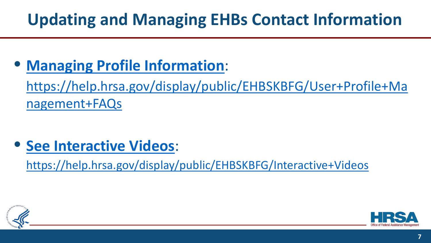# **Updating and Managing EHBs Contact Information**

• **[Managing Profile Information](https://help.hrsa.gov/display/public/EHBSKBFG/User+Profile+Management+FAQs)**:

[https://help.hrsa.gov/display/public/EHBSKBFG/User+Profile+Ma](https://help.hrsa.gov/display/public/EHBSKBFG/User+Profile+Management+FAQs) nagement+FAQs

• **[See Interactive Videos](https://help.hrsa.gov/display/public/EHBSKBFG/Interactive+Videos)**:

<https://help.hrsa.gov/display/public/EHBSKBFG/Interactive+Videos>



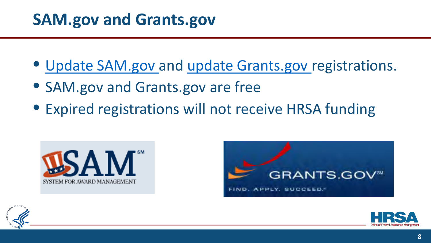### **SAM.gov and Grants.gov**

- [Update SAM.gov a](http://www.sam.gov/)nd [update Grants.gov r](http://www.grants.gov/)egistrations.
- SAM.gov and Grants.gov are free
- Expired registrations will not receive HRSA funding







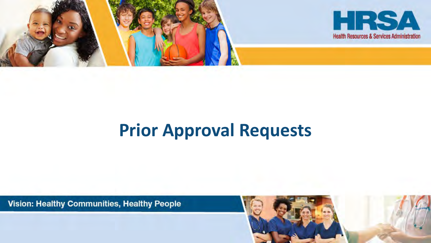

# **Prior Approval Requests**

Vision: Healthy Communities, Healthy People

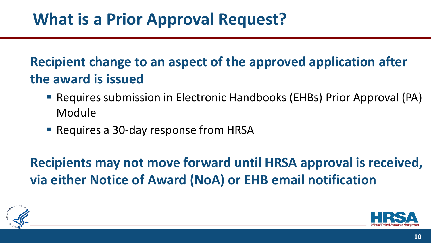#### **Recipient change to an aspect of the approved application after the award is issued**

- Requires submission in Electronic Handbooks (EHBs) Prior Approval (PA) Module
- Requires a 30-day response from HRSA

**Recipients may not move forward until HRSA approval is received, via either Notice of Award (NoA) or EHB email notification**



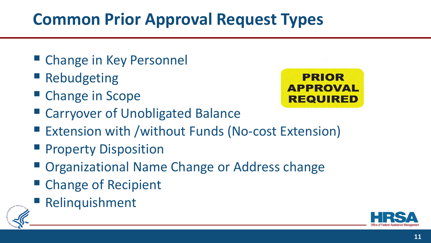# **Common Prior Approval Request Types**

- Change in Key Personnel
- Rebudgeting
- Change in Scope



- Carryover of Unobligated Balance
- Extension with /without Funds (No-cost Extension)
- **Property Disposition**
- Organizational Name Change or Address change
- Change of Recipient
- Relinquishment



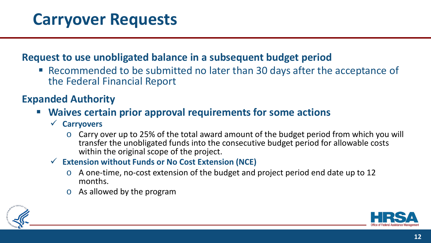## **Carryover Requests**

#### **Request to use unobligated balance in a subsequent budget period**

 Recommended to be submitted no later than 30 days after the acceptance of the Federal Financial Report

#### **Expanded Authority**

#### **Waives certain prior approval requirements for some actions**

- **Carryovers**
	- o Carry over up to 25% of the total award amount of the budget period from which you will transfer the unobligated funds into the consecutive budget period for allowable costs within the original scope of the project.

#### **Extension without Funds or No Cost Extension (NCE)**

- o A one-time, no-cost extension of the budget and project period end date up to 12 months.
- o As allowed by the program



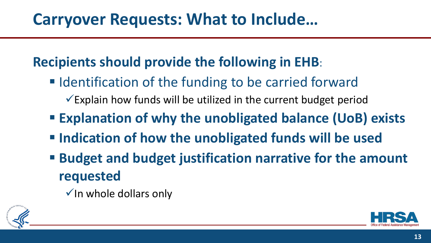## **Carryover Requests: What to Include…**

#### **Recipients should provide the following in EHB**:

- **IDENTIFICATION OF the funding to be carried forward** 
	- $\checkmark$  Explain how funds will be utilized in the current budget period
- **Explanation of why the unobligated balance (UoB) exists**
- **Indication of how the unobligated funds will be used**
- **Budget and budget justification narrative for the amount requested** 
	- $\checkmark$  In whole dollars only



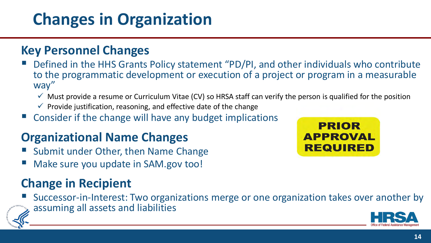# **Changes in Organization**

#### **Key Personnel Changes**

- Defined in the HHS Grants Policy statement "PD/PI, and other individuals who contribute to the programmatic development or execution of a project or program in a measurable way"
	- $\checkmark$  Must provide a resume or Curriculum Vitae (CV) so HRSA staff can verify the person is qualified for the position
	- $\checkmark$  Provide justification, reasoning, and effective date of the change
- Consider if the change will have any budget implications

#### **Organizational Name Changes**

- Submit under Other, then Name Change
- Make sure you update in SAM.gov too!

#### **Change in Recipient**

 Successor-in-Interest: Two organizations merge or one organization takes over another by assuming all assets and liabilities



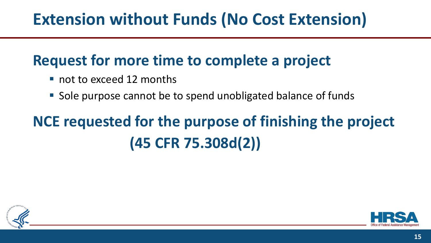# **Extension without Funds (No Cost Extension)**

#### **Request for more time to complete a project**

- not to exceed 12 months
- Sole purpose cannot be to spend unobligated balance of funds

# **NCE requested for the purpose of finishing the project (45 CFR 75.308d(2))**



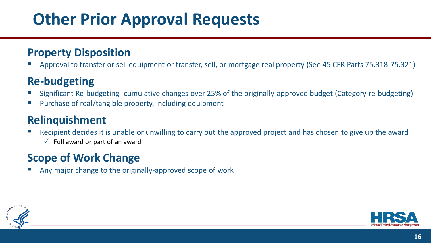# **Other Prior Approval Requests**

#### **Property Disposition**

Approval to transfer or sell equipment or transfer, sell, or mortgage real property (See 45 CFR Parts 75.318-75.321)

#### **Re-budgeting**

- Significant Re-budgeting- cumulative changes over 25% of the originally-approved budget (Category re-budgeting)
- Purchase of real/tangible property, including equipment

#### **Relinquishment**

- Recipient decides it is unable or unwilling to carry out the approved project and has chosen to give up the award
	- $\checkmark$  Full award or part of an award

#### **Scope of Work Change**

Any major change to the originally-approved scope of work



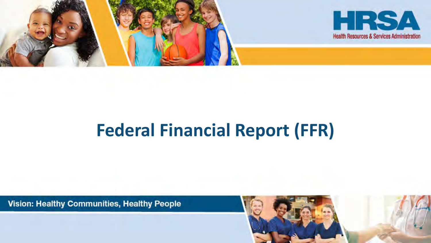

# **Federal Financial Report (FFR)**

Vision: Healthy Communities, Healthy People

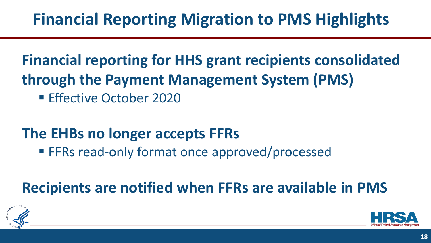# **Financial Reporting Migration to PMS Highlights**

#### **Financial reporting for HHS grant recipients consolidated through the Payment Management System (PMS)**

**Effective October 2020** 

#### **The EHBs no longer accepts FFRs**

**FFRs read-only format once approved/processed** 

## **Recipients are notified when FFRs are available in PMS**



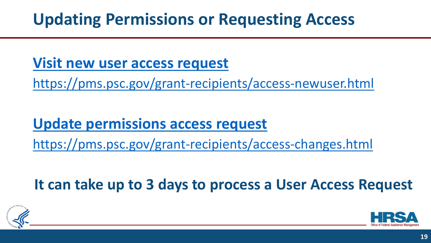## **Updating Permissions or Requesting Access**

#### **[Visit new user access request](https://pms.psc.gov/grant-recipients/access-newuser.html)**

<https://pms.psc.gov/grant-recipients/access-newuser.html>

#### **[Update permissions access request](https://pms.psc.gov/grant-recipients/access-changes.html)**

<https://pms.psc.gov/grant-recipients/access-changes.html>

**It can take up to 3 days to process a User Access Request**



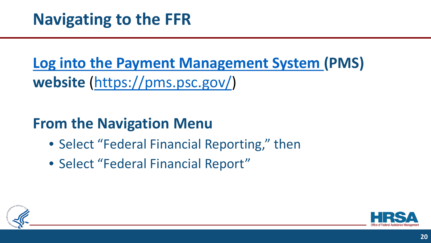**[Log into the Payment Management System](https://pms.psc.gov/) (PMS) website** ([https://pms.psc.gov/\)](https://pms.psc.gov/)

#### **From the Navigation Menu**

- Select "Federal Financial Reporting," then
- Select "Federal Financial Report"



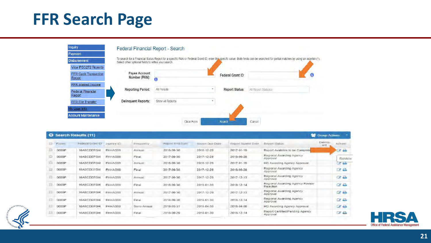## **FFR Search Page**

| Inquiry                            | Federal Financial Report - Search                   |                         |            |                       |                     |                                                                                                                                                                                     |
|------------------------------------|-----------------------------------------------------|-------------------------|------------|-----------------------|---------------------|-------------------------------------------------------------------------------------------------------------------------------------------------------------------------------------|
| Payment                            |                                                     |                         |            |                       |                     |                                                                                                                                                                                     |
| <b>Disbursement</b>                | Select other optional fields to refine your search. |                         |            |                       |                     | To search for a Financial Status Report for a specific PAN or Federal Grant ID, enter the specific value. Both fields can be searched for partial matches by using an asterisk (*). |
| View PSC272 Reports                |                                                     |                         |            |                       |                     |                                                                                                                                                                                     |
| FFR Cash Transaction<br>Report     | Payee Account<br>Number (PAN):                      | $\overline{\mathbf{0}}$ |            | Federal Grant ID:     |                     | Ū                                                                                                                                                                                   |
| <b>FFR Interest Income</b>         |                                                     |                         |            |                       |                     |                                                                                                                                                                                     |
| <b>Federal Financial</b><br>Report | <b>Reporting Period:</b>                            | All Periods             |            | <b>Report Status:</b> | All Report Statuses |                                                                                                                                                                                     |
| <b>FFR File Transfer</b>           | <b>Delinquent Reports:</b>                          | Show All Reports        |            |                       |                     |                                                                                                                                                                                     |
| My User Info                       |                                                     |                         |            |                       |                     |                                                                                                                                                                                     |
| <b>Account Maintenance</b>         |                                                     |                         |            |                       |                     |                                                                                                                                                                                     |
|                                    |                                                     |                         | Clear Form | Search                | Cancel              |                                                                                                                                                                                     |

| E.         | Payes        | Fisdigal Grant ID | ABEREY IO | Frequency   | Report End Date | Report Due Date | Report Submit Date | Report Status                                | <b>Deliniou</b> | Actions            |
|------------|--------------|-------------------|-----------|-------------|-----------------|-----------------|--------------------|----------------------------------------------|-----------------|--------------------|
| $\Box$     | DODOP        | 16ABCDEEGH        | FHHAG99   | Annual      | 2016-09-30      | 2016-12-29      | $2017 - 01 - 19$   | Report Available to be Complete              | ent             | <b>12 B</b>        |
| D          | D00OP        | 16ABCDEFGH        | FHHAG99   | Final       | 2017-09-30      | 2017-12-29      | 2018-06-28         | Regional Awarding Agency<br>Approval         |                 | Review             |
| $1 - 4$    | D00OP        | 16ABCDEFGH        | FHHAG99   | Annual      | 2016-09-30      | 2016-12-29      | $2017 - 01 - 19$   | HD Awarding Agency Approval                  |                 | $\epsilon$         |
| $-1$       | 0000P        | <b>16ABCDEFGH</b> | FHHAG99   | Final       | 2017-09-30      | 2017-12-29      | 2016-08-28         | Regional Awarding Agency<br>Approval         |                 | 28                 |
| $\Box$     | ODDOP        | 16ABCDEFGH        | FHHAG99   | Annual      | 2017-09-30      | 2017-12-29      | $2017 - 12 - 13$   | Regional Awarding Agency<br>Approval         |                 | <b>CEA</b>         |
| 面          | 0000P        | 16ABCDEFGH        | FHHAG99   | Final       | 2018-09-30      | 2019-01-30      | 2018-12-14         | Regional Awarding Agency Review<br>Relection |                 | $\alpha$           |
| $\Box$     | D000P        | 16ABCDEFGH        | FHHAG99   | Annual      | 2017-09-30      | 2017-12-29      | $2017 - 12 - 13$   | Regional Awarding Agency<br>Approval         |                 | $\alpha$ $\approx$ |
| $\Box$     | <b>D000P</b> | 16ABCDEFGH        | FHHAG00   | Final       | 2018-09-30      | 2019-01-30      | 2013-12-14         | Regional Awarding Agency<br>Approval         |                 | $\mathbb{Z}$       |
| <b>III</b> | 0000P        | 16ABCDEFGH        | FHHAG99   | Sami-Annual | 2018-03-31      | 2018-04-30      | 2018-04-06         | HQ Awarding Agency Approval                  |                 | $\alpha$ $\alpha$  |
| $\Box$     | D00GP        | 16ABCDEFGH        | FHHAG99   | Final       | 2018-09-29      | 2019-01-30      | 2018-12-14         | Report Certified/Pending Agency<br>Approval  |                 | <b>BA</b>          |



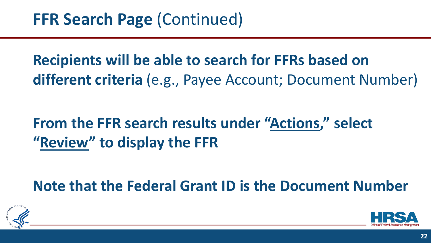**Recipients will be able to search for FFRs based on different criteria** (e.g., Payee Account; Document Number)

### **From the FFR search results under "Actions," select "Review" to display the FFR**

**Note that the Federal Grant ID is the Document Number**



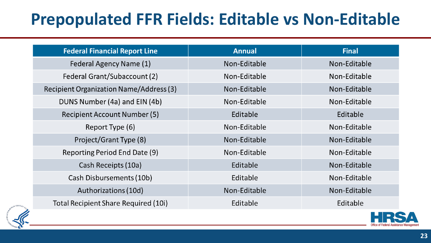# **Prepopulated FFR Fields: Editable vs Non-Editable**

| <b>Federal Financial Report Line</b>        | <b>Annual</b> | <b>Final</b> |  |
|---------------------------------------------|---------------|--------------|--|
| Federal Agency Name (1)                     | Non-Editable  | Non-Editable |  |
| Federal Grant/Subaccount (2)                | Non-Editable  | Non-Editable |  |
| Recipient Organization Name/Address (3)     | Non-Editable  | Non-Editable |  |
| DUNS Number (4a) and EIN (4b)               | Non-Editable  | Non-Editable |  |
| <b>Recipient Account Number (5)</b>         | Editable      | Editable     |  |
| Report Type (6)                             | Non-Editable  | Non-Editable |  |
| Project/Grant Type (8)                      | Non-Editable  | Non-Editable |  |
| Reporting Period End Date (9)               | Non-Editable  | Non-Editable |  |
| Cash Receipts (10a)                         | Editable      | Non-Editable |  |
| Cash Disbursements (10b)                    | Editable      | Non-Editable |  |
| Authorizations (10d)                        | Non-Editable  | Non-Editable |  |
| <b>Total Recipient Share Required (10i)</b> | Editable      | Editable     |  |

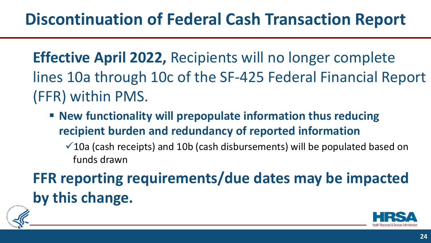**Effective April 2022,** Recipients will no longer complete lines 10a through 10c of the SF-425 Federal Financial Report (FFR) within PMS.

 **New functionality will prepopulate information thus reducing recipient burden and redundancy of reported information** 

 $\checkmark$  10a (cash receipts) and 10b (cash disbursements) will be populated based on funds drawn

**FFR reporting requirements/due dates may be impacted by this change.** 



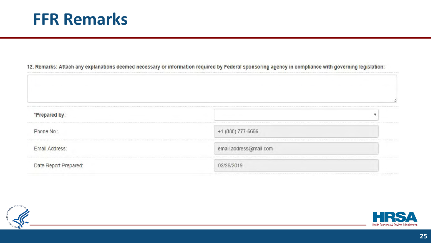12. Remarks: Attach any explanations deemed necessary or information required by Federal sponsoring agency in compliance with governing legislation:

| *Prepared by:         |                        |
|-----------------------|------------------------|
| Phone No.:            | +1 (888) 777-6666      |
| Email Address:        | email.address@mail.com |
| Date Report Prepared: | 02/28/2019             |



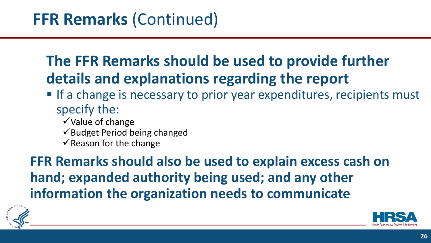### **The FFR Remarks should be used to provide further details and explanations regarding the report**

- **If a change is necessary to prior year expenditures, recipients must** specify the:
	- $\checkmark$  Value of change
	- $\checkmark$  Budget Period being changed
	- $\checkmark$  Reason for the change

**FFR Remarks should also be used to explain excess cash on hand; expanded authority being used; and any other information the organization needs to communicate** 



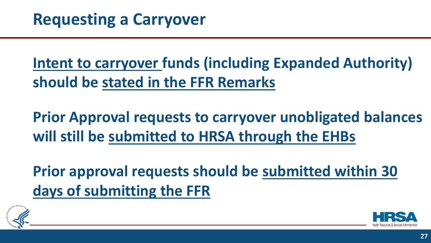**Intent to carryover funds (including Expanded Authority) should be stated in the FFR Remarks**

**Prior Approval requests to carryover unobligated balances will still be submitted to HRSA through the EHBs**

**Prior approval requests should be submitted within 30 days of submitting the FFR**



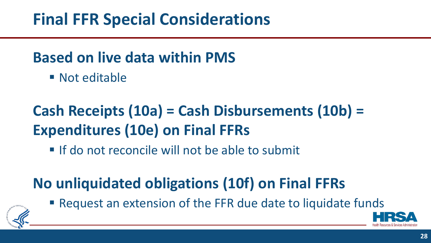## **Final FFR Special Considerations**

#### **Based on live data within PMS**

■ Not editable

# **Cash Receipts (10a) = Cash Disbursements (10b) = Expenditures (10e) on Final FFRs**

If do not reconcile will not be able to submit

# **No unliquidated obligations (10f) on Final FFRs**



■ Request an extension of the FFR due date to liquidate funds

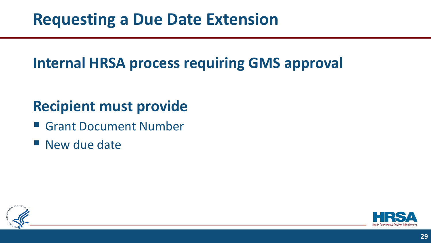#### **Internal HRSA process requiring GMS approval**

#### **Recipient must provide**

- Grant Document Number
- **New due date**



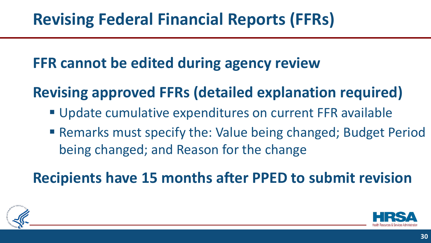#### **FFR cannot be edited during agency review**

## **Revising approved FFRs (detailed explanation required)**

- **Update cumulative expenditures on current FFR available**
- Remarks must specify the: Value being changed; Budget Period being changed; and Reason for the change

### **Recipients have 15 months after PPED to submit revision**



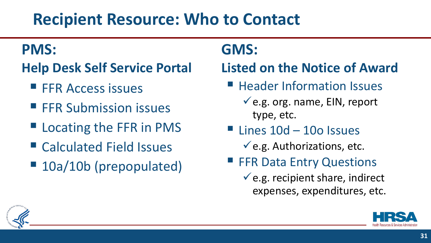## **Recipient Resource: Who to Contact**

#### **PMS:**

- **Help Desk Self Service Portal**
	- **FFR Access issues**
	- **FFR Submission issues**
	- Locating the FFR in PMS
	- Calculated Field Issues
	- 10a/10b (prepopulated)

#### **GMS:**

#### **Listed on the Notice of Award**

- **Header Information Issues** 
	- $\checkmark$  e.g. org. name, EIN, report type, etc.
- $\blacksquare$  Lines  $10d 10o$  Issues
	- $\checkmark$  e.g. Authorizations, etc.
- **FFR Data Entry Questions** 
	- $\checkmark$  e.g. recipient share, indirect expenses, expenditures, etc.



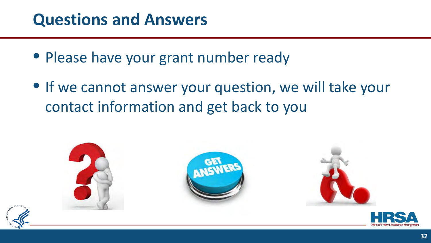### **Questions and Answers**

- Please have your grant number ready
- If we cannot answer your question, we will take your contact information and get back to you

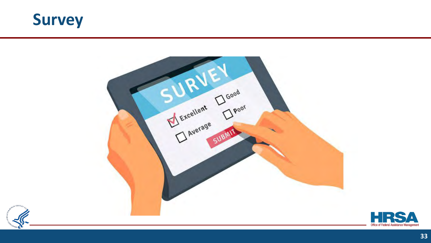





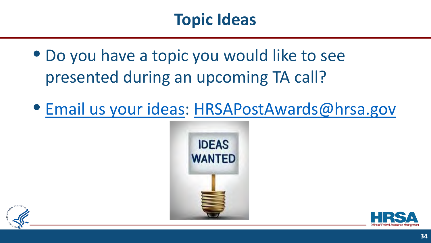## **Topic Ideas**

- Do you have a topic you would like to see presented during an upcoming TA call?
- [Email us your ideas](mailto:HRSAPostAwards@hrsa.gov): [HRSAPostAwards@hrsa.gov](mailto:HRSAPostAwards@hrsa.gov)